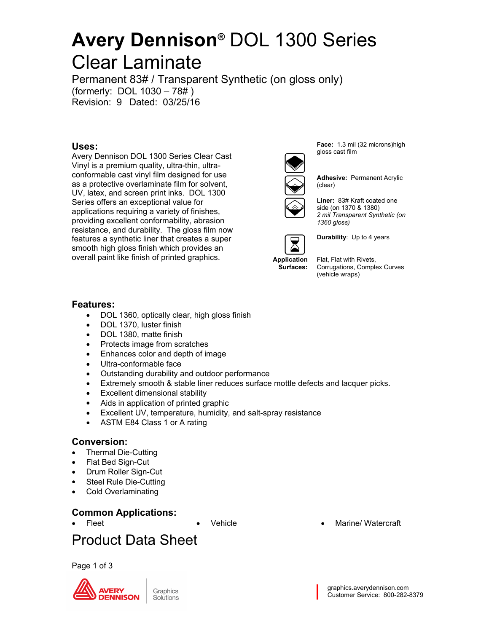Permanent 83# / Transparent Synthetic (on gloss only) (formerly: DOL 1030 – 78# ) Revision: 9 Dated: 03/25/16

### **Uses:**

Avery Dennison DOL 1300 Series Clear Cast Vinyl is a premium quality, ultra-thin, ultraconformable cast vinyl film designed for use as a protective overlaminate film for solvent, UV, latex, and screen print inks. DOL 1300 Series offers an exceptional value for applications requiring a variety of finishes, providing excellent conformability, abrasion resistance, and durability. The gloss film now features a synthetic liner that creates a super smooth high gloss finish which provides an overall paint like finish of printed graphics.

Face: 1.3 mil (32 microns)high gloss cast film



**Adhesive: Permanent Acrylic** (clear)

Liner: 83# Kraft coated one side (on 1370 & 1380) *2 mil Transparent Synthetic (on 1360 gloss)*



**Durability**: Up to 4 years

**Surfaces:** Corrugations, Complex Curves Flat, Flat with Rivets, (vehicle wraps)

#### **Features:**

- DOL 1360, optically clear, high gloss finish
- DOL 1370, luster finish
- DOL 1380, matte finish
- Protects image from scratches
- Enhances color and depth of image
- Ultra-conformable face
- Outstanding durability and outdoor performance
- Extremely smooth & stable liner reduces surface mottle defects and lacquer picks.
- Excellent dimensional stability
- Aids in application of printed graphic
- Excellent UV, temperature, humidity, and salt-spray resistance
- ASTM E84 Class 1 or A rating

#### **Conversion:**

- Thermal Die-Cutting
- Flat Bed Sign-Cut
- Drum Roller Sign-Cut
- Steel Rule Die-Cutting
- Cold Overlaminating

### **Common Applications:**

Fleet **Contract Contract Contract Contract Contract Contract Contract Contract Contract Contract Contract Contract Contract Contract Contract Contract Contract Contract Contract Contract Contract Contract Contract Contract** 

## Product Data Sheet

Page 1 of 3



graphics.averydennison.com Customer Service: 800-282-8379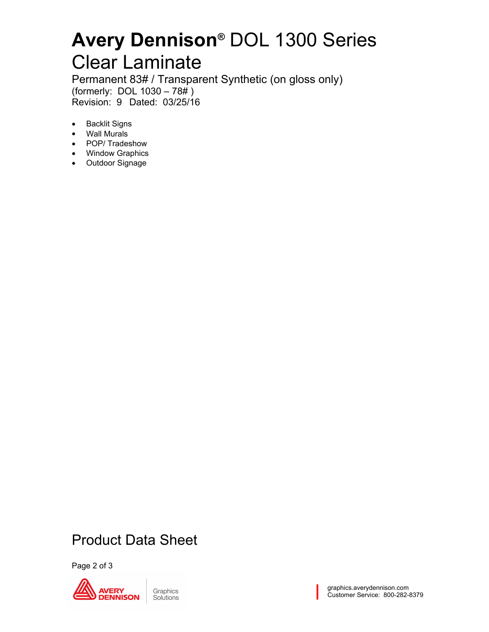Permanent 83# / Transparent Synthetic (on gloss only) (formerly: DOL 1030 – 78# ) Revision: 9 Dated: 03/25/16

- Backlit Signs
- Wall Murals
- POP/ Tradeshow
- Window Graphics
- Outdoor Signage

## Product Data Sheet

Page 2 of 3

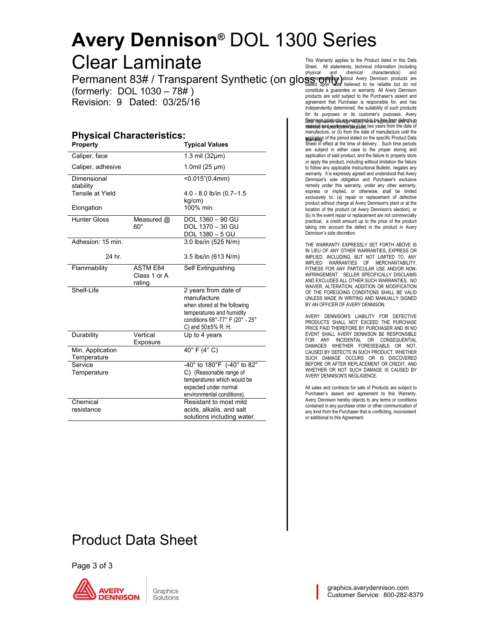Permanent 83# / Transparent Synthetic (on gloss only) about Avery Dennison products are (formerly: DOL 1030 – 78# ) Revision: 9 Dated: 03/25/16

#### **Physical Characteristics: Property Typical Values**

|                     |                 |                                 | are subject in either case to the proper storing and                                                                           |
|---------------------|-----------------|---------------------------------|--------------------------------------------------------------------------------------------------------------------------------|
| Caliper, face       |                 | 1.3 mil $(32 \mu m)$            | application of said product, and the failure to properly store                                                                 |
| Caliper, adhesive   |                 | 1.0mil $(25 \mu m)$             | or apply the product, including without limitation the failure<br>to follow any applicable Instructional Bulletin, negates any |
|                     |                 |                                 | warranty. It is expressly agreed and understood that Avery                                                                     |
| Dimensional         |                 | < 0.015" (0.4mm)                | Dennison's sole obligation and Purchaser's exclusive                                                                           |
| stability           |                 |                                 | remedy under this warranty, under any other warranty,                                                                          |
| Tensile at Yield    |                 | $4.0 - 8.0$ lb/in $(0.7 - 1.5)$ | express or implied, or otherwise, shall be limited<br>exclusively to: (a) repair or replacement of defective                   |
|                     |                 | kg/cm)                          | product without charge at Avery Dennison's plant or at the                                                                     |
| Elongation          |                 | 100% min.                       | location of the product (at Avery Dennison's election), or                                                                     |
| <b>Hunter Gloss</b> | Measured @      | DOL 1360 - 90 GU                | (b) in the event repair or replacement are not commercially<br>practical, a credit amount up to the price of the product       |
|                     | $60^{\circ}$    | DOL 1370 - 30 GU                | taking into account the defect in the product in Avery                                                                         |
|                     |                 | DOL 1380 - 5 GU                 | Dennison's sole discretion.                                                                                                    |
| Adhesion: 15 min.   |                 | 3.0 lbs/in (525 N/m)            |                                                                                                                                |
|                     |                 |                                 | THE WARRANTY EXPRESSLY SET FORTH ABOVE IS<br>IN LIEU OF ANY OTHER WARRANTIES, EXPRESS OR                                       |
| 24 hr.              |                 | 3.5 lbs/in (613 N/m)            | IMPLIED, INCLUDING, BUT NOT LIMITED TO, ANY                                                                                    |
|                     |                 |                                 | IMPLIED WARRANTIES OF MERCHANTABILITY,                                                                                         |
| Flammability        | <b>ASTM E84</b> | Self Extinguishing              | FITNESS FOR ANY PARTICULAR USE AND/OR NON-                                                                                     |
|                     | Class 1 or A    |                                 | INFRINGEMENT. SELLER SPECIFICALLY DISCLAIMS<br>AND EXCLUDES ALL OTHER SUCH WARRANTIES. NO                                      |
|                     | rating          |                                 | WAIVER, ALTERATION, ADDITION OR MODIFICATION                                                                                   |
| Shelf-Life          |                 | 2 years from date of            | OF THE FOREGOING CONDITIONS SHALL BE VALID                                                                                     |
|                     |                 | manufacture                     | UNLESS MADE IN WRITING AND MANUALLY SIGNED                                                                                     |
|                     |                 | when stored at the following    | BY AN OFFICER OF AVERY DENNISON.                                                                                               |
|                     |                 | temperatures and humidity       | AVERY DENNISON'S LIABILITY FOR DEFECTIVE                                                                                       |
|                     |                 | conditions 68°-77° F (20° - 25° | PRODUCTS SHALL NOT EXCEED THE PURCHASE                                                                                         |
|                     |                 | C) and $50\pm5\%$ R. H.         | PRICE PAID THEREFORE BY PURCHASER AND IN NO                                                                                    |
| Durability          | Vertical        | Up to 4 years                   | EVENT SHALL AVERY DENNISON BE RESPONSIBLE<br>FOR ANY INCIDENTAL OR CONSEQUENTIAL                                               |
|                     | Exposure        |                                 | DAMAGES WHETHER FORESEEABLE OR NOT,                                                                                            |
| Min. Application    |                 | $40^\circ$ F $(4^\circ$ C)      | CAUSED BY DEFECTS IN SUCH PRODUCT, WHETHER                                                                                     |
| Temperature         |                 |                                 | SUCH DAMAGE OCCURS OR IS DISCOVERED                                                                                            |
| Service             |                 | -40° to 180°F (-40° to 82°      | BEFORE OR AFTER REPLACEMENT OR CREDIT, AND<br>WHETHER OR NOT SUCH DAMAGE IS CAUSED BY                                          |
| Temperature         |                 | C) (Reasonable range of         | AVERY DENNISON'S NEGLIGENCE.                                                                                                   |
|                     |                 | temperatures which would be     |                                                                                                                                |
|                     |                 | expected under normal           | All sales and contracts for sale of Products are subject to                                                                    |
|                     |                 | environmental conditions).      | Purchaser's assent and agreement to this Warranty.<br>Avery Dennison hereby objects to any terms or conditions                 |
| Chemical            |                 | Resistant to most mild          | contained in any purchase order or other communication of                                                                      |
| resistance          |                 | acids, alkalis, and salt        | any kind from the Purchaser that is conflicting, inconsistent                                                                  |
|                     |                 | solutions including water.      | or additional to this Agreement.                                                                                               |

Product Data Sheet

Page 3 of 3



DOL 1360 – 90 GU<br>
practical, a credit amount up to the price of the product Data Pepresenty ଉତ୍କମ୍ପନ୍ୟ ହୋଇଥିବାମ ଜେ ବିଧିମନ୍ୟମାତା, ସାକ୍ଷମନ୍ୟ କାର<br>metraial nord wearkennoshim histor two years from the date of **expiration** of the period stated on the specific Product Data<br>Sheet in effect at the time of delivery.. Such time periods This Warranty applies to the Product listed in this Data Sheet. All statements, technical information (including chemical characteristics) and constitute a guarantee or warranty. All Avery Dennison products are sold subject to the Purchaser's assent and agreement that Purchaser is responsible for, and has independently determined, the suitability of such products for its purposes or its customer's purposes. Avery Denarie en beendwate are waargasted to be free from defects in in the date of<br>meterial and wearkcanship (i) for two years from the date of manufacture, or (ii) from the date of manufacture until the are subject in either case to the proper storing and application of said product, and the failure to properly store or apply the product, including without limitation the failure to follow any applicable Instructional Bulletin, negates any warranty. It is expressly agreed and understood that Avery Dennison's sole obligation and Purchaser's exclusive remedy under this warranty, under any other warranty, express or implied, or otherwise, shall be limited exclusively to: (a) repair or replacement of defective product without charge at Avery Dennison's plant or at the location of the product (at Avery Dennison's election), or (b) in the event repair or replacement are not commercially